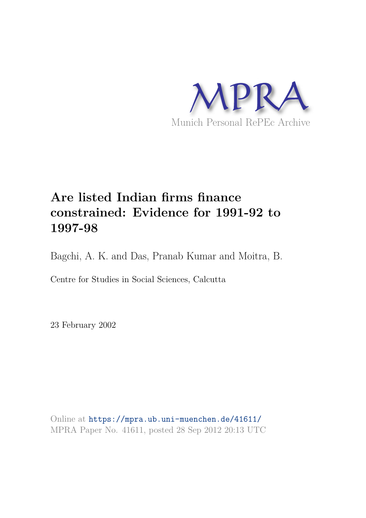

## **Are listed Indian firms finance constrained: Evidence for 1991-92 to 1997-98**

Bagchi, A. K. and Das, Pranab Kumar and Moitra, B.

Centre for Studies in Social Sciences, Calcutta

23 February 2002

Online at https://mpra.ub.uni-muenchen.de/41611/ MPRA Paper No. 41611, posted 28 Sep 2012 20:13 UTC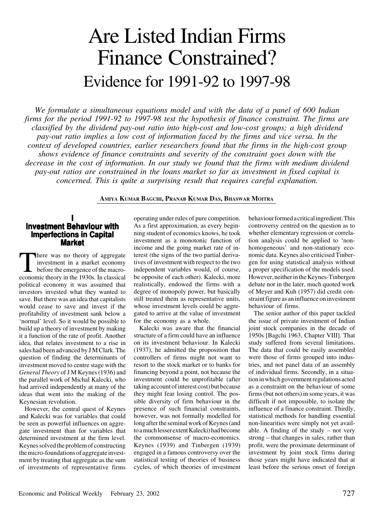# Are Listed Indian Firms Finance Constrained? Evidence for 1991-92 to 1997-98

*We formulate a simultaneous equations model and with the data of a panel of 600 Indian firms for the period 1991-92 to 1997-98 test the hypothesis of finance constraint. The firms are classified by the dividend pay-out ratio into high-cost and low-cost groups; a high dividend pay-out ratio implies a low cost of information faced by the firms and vice versa. In the context of developed countries, earlier researchers found that the firms in the high-cost group shows evidence of finance constraints and severity of the constraint goes down with the decrease in the cost of information. In our study we found that the firms with medium dividend pay-out ratios are constrained in the loans market so far as investment in fixed capital is concerned. This is quite a surprising result that requires careful explanation.*

## **AMIYA KUMAR BAGCHI, PRANAB KUMAR DAS, BHASWAR MOITRA**

## **I Investment Behaviour with Imperfections in Capital Market**

There was no theory of aggregate<br>investment in a market economy<br>before the emergence of the macro-<br>economic theory in the 1930s. In classical here was no theory of aggregate investment in a market economy before the emergence of the macropolitical economy it was assumed that investors invested what they wanted to save. But there was an idea that capitalists would cease to save and invest if the profitability of investment sank below a 'normal' level. So it would be possible to build up a theory of investment by making it a function of the rate of profit. Another idea, that relates investment to a rise in sales had been advanced by J M Clark. The question of finding the determinants of investment moved to centre stage with the *General Theory* of J M Keynes (1936) and the parallel work of Michal Kalecki, who had arrived independently at many of the ideas that went into the making of the Keynesian revolution.

However, the central quest of Keynes and Kalecki was for variables that could be seen as powerful influences on aggregate investment than for variables that determined investment at the firm level. Keynes solved the problem of constructing the micro-foundations of aggregate investment by treating that aggregate as the sum of investments of representative firms

operating under rules of pure competition. As a first approximation, as every beginning student of economics knows, he took investment as a monotonic function of income and the going market rate of interest (the signs of the two partial derivatives of investment with respect to the two independent variables would, of course, be opposite of each other). Kalecki, more realistically, endowed the firms with a degree of monopoly power, but basically still treated them as representative units, whose investment levels could be aggregated to arrive at the value of investment for the economy as a whole.

Kalecki was aware that the financial structure of a firm could have an influence on its investment behaviour. In Kalecki (1937), he admitted the proposition that controllers of firms might not want to resort to the stock market or to banks for financing beyond a point, not because the investment could be unprofitable (after taking account of interest cost) but because they might fear losing control. The possible diversity of firm behaviour in the presence of such financial constraints, however, was not formally modelled for long after the seminal work of Keynes (and to a much lesser extent Kalecki) had become the commonsense of macro-economics. Keynes (1939) and Tinbergen (1939) engaged in a famous controversy over the statistical testing of theories of business cycles, of which theories of investment

behaviour formed a critical ingredient. This controversy centred on the question as to whether elementary regression or correlation analysis could be applied to 'nonhomogeneous' and non-stationary economic data. Keynes also criticised Tinbergen for using statistical analysis without a proper specification of the models used. However, neither in the Keynes-Tinbergen debate nor in the later, much quoted work of Meyer and Kuh (1957) did credit constraint figure as an influence on investment behaviour of firms.

The senior author of this paper tackled the issue of private investment of Indian joint stock companies in the decade of 1950s [Bagchi 1963, Chapter VIII]. That study suffered from several limitations. The data that could be easily assembled were those of firms grouped into industries, and not panel data of an assembly of individual firms. Secondly, in a situation in which government regulations acted as a constraint on the behaviour of some firms (but not others) in some years, it was difficult if not impossible, to isolate the influence of a finance constraint. Thirdly, statistical methods for handling essential non-linearities were simply not yet available. A finding of the study – not very strong – that changes in sales, rather than profit, were the proximate determinant of investment by joint stock firms during those years might have indicated that at least before the serious onset of foreign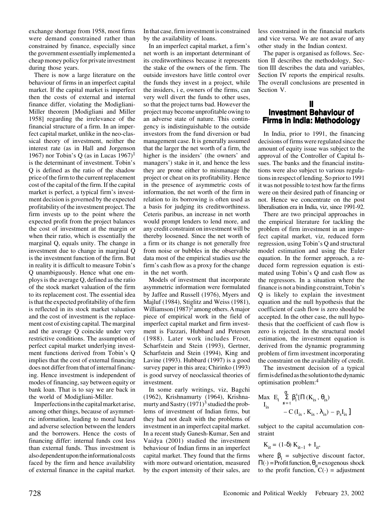exchange shortage from 1958, most firms were demand constrained rather than constrained by finance, especially since the government essentially implemented a cheap money policy for private investment during those years.

There is now a large literature on the behaviour of firms in an imperfect capital market. If the capital market is imperfect then the costs of external and internal finance differ, violating the Modigliani-Miller theorem [Modigliani and Miller 1958] regarding the irrelevance of the financial structure of a firm. In an imperfect capital market, unlike in the neo-classical theory of investment, neither the interest rate (as in Hall and Jorgenson 1967) nor Tobin's Q (as in Lucas  $1967$ )<sup>1</sup> is the determinant of investment. Tobin's Q is defined as the ratio of the shadow price of the firm to the current replacement cost of the capital of the firm. If the capital market is perfect, a typical firm's investment decision is governed by the expected profitability of the investment project. The firm invests up to the point where the expected profit from the project balances the cost of investment at the margin or when their ratio, which is essentially the marginal Q, equals unity. The change in investment due to change in marginal Q is the investment function of the firm. But in reality it is difficult to measure Tobin's Q unambiguously. Hence what one employs is the average Q, defined as the ratio of the stock market valuation of the firm to its replacement cost. The essential idea is that the expected profitability of the firm is reflected in its stock market valuation and the cost of investment is the replacement cost of existing capital. The marginal and the average Q coincide under very restrictive conditions. The assumption of perfect capital market underlying investment functions derived from Tobin's Q implies that the cost of external financing does not differ from that of internal financing. Hence investment is independent of modes of financing, say between equity or bank loan. That is to say we are back in the world of Modigliani-Miller.

Imperfections in the capital market arise, among other things, because of asymmetric information, leading to moral hazard and adverse selection between the lenders and the borrowers. Hence the costs of financing differ: internal funds cost less than external funds. Thus investment is also dependent upon the informational costs faced by the firm and hence availability of external finance in the capital market. In that case, firm investment is constrained by the availability of loans.

In an imperfect capital market, a firm's net worth is an important determinant of its creditworthiness because it represents the stake of the owners of the firm. The outside investors have little control over the funds they invest in a project, while the insiders, i e, owners of the firms, can very well divert the funds to other uses, so that the project turns bad. However the project may become unprofitable owing to an adverse state of nature. This contingency is indistinguishable to the outside investors from the fund diversion or bad management case. It is generally assumed that the larger the net worth of a firm, the higher is the insiders' (the owners' and managers') stake in it, and hence the less they are prone either to mismanage the project or cheat on its profitability. Hence in the presence of asymmetric costs of information, the net worth of the firm in relation to its borrowing is often used as a basis for judging its creditworthiness. Ceteris paribus, an increase in net worth would prompt lenders to lend more, and any credit constraint on investment will be thereby loosened. Since the net worth of a firm or its change is not generally free from noise or bubbles in the observable data most of the empirical studies use the firm's cash flow as a proxy for the change in the net worth.

Models of investment that incorporate asymmetric information were formulated by Jaffee and Russell (1976), Myers and Majluf (1984), Stiglitz and Weiss (1981), Williamson  $(1987)^2$  among others. A major piece of empirical work in the field of imperfect capital market and firm investment is Fazzari, Hubbard and Petersen (1988). Later work includes Froot, Scharfstein and Stein (1993), Gertner, Scharfstein and Stein (1994), King and Lavine (1993). Hubbard (1997) is a good survey paper in this area; Chirinko (1993) is good survey of neoclassical theories of investment.

In some early writings, viz, Bagchi (1962), Krishnamurty (1964), Krishnamurty and Sastry  $(1971)^3$  studied the problems of investment of Indian firms, but they had not dealt with the problems of investment in an imperfect capital market. In a recent study Ganesh-Kumar, Sen and Vaidya (2001) studied the investment behaviour of Indian firms in an imperfect capital market. They found that the firms with more outward orientation, measured by the export intensity of their sales, are

less constrained in the financial markets and vice versa. We are not aware of any other study in the Indian context.

The paper is organised as follows. Section II describes the methodology, Section III describes the data and variables, Section IV reports the empirical results. The overall conclusions are presented in Section V.

## **II Investment Behaviour of Firms in India: Methodology**

In India, prior to 1991, the financing decisions of firms were regulated since the amount of equity issue was subject to the approval of the Controller of Capital Issues. The banks and the financial institutions were also subject to various regulations in respect of lending. So prior to 1991 it was not possible to test how far the firms were on their desired path of financing or not. Hence we concentrate on the post liberalisation era in India, viz, since 1991-92.

There are two principal approaches in the empirical literature for tackling the problem of firm investment in an imperfect capital market, viz, reduced form regression, using Tobin's Q and structural model estimation and using the Euler equation. In the former approach, a reduced form regression equation is estimated using Tobin's Q and cash flow as the regressors. In a situation where the finance is not a binding constraint, Tobin's Q is likely to explain the investment equation and the null hypothesis that the coefficient of cash flow is zero should be accepted. In the other case, the null hypothesis that the coefficient of cash flow is zero is rejected. In the structural model estimation, the investment equation is derived from the dynamic programming problem of firm investment incorporating the constraint on the availability of credit.

The investment decision of a typical firm is defined as the solution to the dynamic optimisation problem:<sup>4</sup>

$$
\begin{array}{ll} \text{Max} & E_t \bigg\{ \sum\limits_{s = t}^{\alpha} \beta_i^s [\Pi(K_{is} \,, \,\theta_{is}) \\ & - C\left(I_{is} \,,\, K_{is} \,, \,\lambda_{is}\right) - p_s I_{is} \,\bigg] \bigg\} \end{array}
$$

subject to the capital accumulation constraint

 $K_{it} = (1-δ) K_{it-1} + I_{it}$ ,

where  $\beta_i$  = subjective discount factor,  $\Pi(\cdot)$  = Profit function,  $\theta_{it}$ = exogenous shock to the profit function,  $C(\cdot)$  = adjustment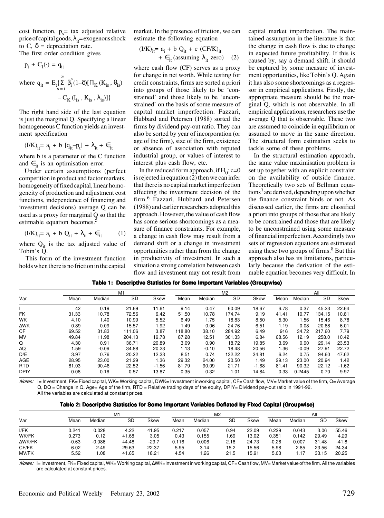cost function,  $p_s$  = tax adjusted relative price of capital goods,  $\lambda_{it}$ = exogenous shock to C,  $\delta$  = depreciation rate. The first order condition gives

$$
p_{t} + C_{I}(\cdot) = q_{it}
$$
  
where  $q_{it} = E_{t} \{ \sum_{s=t}^{\infty} \beta_{i}^{s} (1-\delta) [\Pi_{K} (K_{is}, \theta_{is}) - C_{K} (I_{is}, K_{is}, \lambda_{is})] \}$ 

The right hand side of the last equation is just the marginal Q. Specifying a linear homogeneous C function yields an investment specification

$$
(I/K)_{it} = a_i + b [q_{it} - p_t] + \lambda_{it} + \epsilon_{it}
$$

where b is a parameter of the C function and  $\epsilon_{it}$  is an optimisation error.

Under certain assumptions (perfect competition in product and factor markets, homogeneity of fixed capital, linear homogeneity of production and adjustment cost functions, independence of financing and investment decisions) average Q can be used as a proxy for marginal Q so that the estimable equation becomes.<sup>5</sup>

$$
(I/K)_{it} = a_i + b Q_{it} + \lambda_{it} + \epsilon_{it} \tag{1}
$$

where  $Q_{it}$  is the tax adjusted value of Tobin's Q.

This form of the investment function holds when there is no friction in the capital

market. In the presence of friction, we can estimate the following equation

$$
(I/K)_{it} = a_i + b Q_{it} + c (CF/K)_{it}
$$
  
+  $\epsilon_{it}$  (assuming  $\lambda_{it}$  zero) (2)

where cash flow (CF) serves as a proxy for change in net worth. While testing for credit constraints, firms are sorted a priori into groups of those likely to be 'constrained' and those likely to be 'unconstrained' on the basis of some measure of capital market imperfection. Fazzari, Hubbard and Petersen (1988) sorted the firms by dividend pay-out ratio. They can also be sorted by year of incorporation (or age of the firm), size of the firm, existence or absence of association with reputed industrial group, or values of interest to interest plus cash flow, etc.

In the reduced form approach, if  $H_0$ : c=0 is rejected in equation (2) then we can infer that there is no capital market imperfection affecting the investment decision of the firm.<sup>6</sup> Fazzari, Hubbard and Petersen (1988) and earlier researchers adopted this approach. However, the value of cash flow has some serious shortcomings as a measure of finance constraints. For example, a change in cash flow may result from a demand shift or a change in investment opportunities rather than from the change in productivity of investment. In such a situation a strong correlation between cash flow and investment may not result from capital market imperfection. The maintained assumption in the literature is that the change in cash flow is due to change in expected future profitability. If this is caused by, say a demand shift, it should be captured by some measure of investment opportunities, like Tobin's Q. Again it has also some shortcomings as a regressor in empirical applications. Firstly, the appropriate measure should be the marginal Q, which is not observable. In all empirical applications, researchers use the average Q that is observable. These two are assumed to coincide in equilibrium or assumed to move in the same direction. The structural form estimation seeks to tackle some of these problems.

In the structural estimation approach, the same value maximisation problem is set up together with an explicit constraint on the availability of outside finance. Theoretically two sets of Bellman equations<sup>7</sup> are derived, depending upon whether the finance constraint binds or not. As discussed earlier, the firms are classified a priori into groups of those that are likely to be constrained and those that are likely to be unconstrained using some measure of financial imperfection. Accordingly two sets of regression equations are estimated using these two groups of firms.<sup>8</sup> But this approach also has its limitations, particularly because the derivation of the estimable equation becomes very difficult. In

|             |       |         | M <sub>1</sub> |         |        |         | M <sub>2</sub> |         |       |         | All    |         |
|-------------|-------|---------|----------------|---------|--------|---------|----------------|---------|-------|---------|--------|---------|
| Var         | Mean  | Median  | <b>SD</b>      | Skew    | Mean   | Median  | SD             | Skew    | Mean  | Median  | SD     | Skew    |
|             | 42    | 0.19    | 21.69          | 11.61   | 9.14   | 0.47    | 60.09          | 18.67   | 6.78  | 0.37    | 45.23  | 22.64   |
| <b>FK</b>   | 31.33 | 10.78   | 72.56          | 6.42    | 51.50  | 10.78   | 174.74         | 9.19    | 41.41 | 10.77   | 134.15 | 10.81   |
| <b>WK</b>   | 4.10  | 1.40    | 10.99          | 5.52    | 6.49   | 1.75    | 18.83          | 8.50    | 5.30  | 1.56    | 15.46  | 8.78    |
| ΔWK         | 0.89  | 0.09    | 15.57          | 1.92    | 1.49   | 0.06    | 24.76          | 6.51    | 1.19  | 0.08    | 20.68  | 6.01    |
| <b>CF</b>   | 69.52 | 31.83   | 111.06         | 3.87    | 118.80 | 38.10   | 284.92         | 6.49    | 916   | 34.72   | 217.60 | 7.79    |
| MV          | 49.84 | 11.98   | 204.13         | 19.78   | 87.28  | 12.51   | 301.33         | 6.84    | 68.56 | 12.19   | 258.0  | 10.42   |
| Q           | 4.30  | 0.91    | 36.71          | 20.89   | 3.09   | 0.90    | 18.72          | 19.85   | 3.69  | 0.90    | 29.14  | 23.53   |
| ΔQ          | 1.59  | $-0.09$ | 34.88          | 20.23   | 1.13   | $-0.10$ | 18.48          | 20.56   | 1.36  | $-0.09$ | 27.91  | 22.72   |
| D/E         | 3.97  | 0.76    | 20.22          | 12.33   | 8.51   | 0.74    | 132.22         | 34.81   | 6.24  | 0.75    | 94.60  | 47.62   |
| <b>AGE</b>  | 28.95 | 23.00   | 21.29          | 1.36    | 29.32  | 24.00   | 20.50          | 1.49    | 29.13 | 23.00   | 20.94  | 1.42    |
| <b>RTD</b>  | 81.03 | 90.46   | 22.52          | $-1.56$ | 81.79  | 90.09   | 21.71          | $-1.68$ | 81.41 | 90.32   | 22.12  | $-1.62$ |
| <b>DPIY</b> | 0.08  | 0.16    | 0.57           | 13.87   | 0.35   | 0.32    | 1.01           | 14.84   | 0.33  | 0.2445  | 0.70   | 9.97    |

Notes: I= Investment, FK= Fixed capital, WK= Working capital, DWK= Investment inworking capital, CF= Cash flow, MV= Market value of the firm, Q= Average Q, DQ = Change in Q, Age= Age of the firm, RTD = Relative trading days of the equity, DPIY= Dividend pay-out ratio in 1991-92. All the variables are calculated at constant prices.

|  |  |  | Table 2: Descriptive Statistics for Some Important Variables Deflated by Fixed Capital (Groupwise) |  |  |  |  |  |  |  |  |  |
|--|--|--|----------------------------------------------------------------------------------------------------|--|--|--|--|--|--|--|--|--|
|--|--|--|----------------------------------------------------------------------------------------------------|--|--|--|--|--|--|--|--|--|

|               |         |          | M1    |         |       |        | M2        |       |         |        | All   |         |
|---------------|---------|----------|-------|---------|-------|--------|-----------|-------|---------|--------|-------|---------|
| Var           | Mean    | Median   | SD    | Skew    | Mean  | Median | <b>SD</b> | Skew  | Mean    | Median | SD    | Skew    |
| I/FK          | 0.241   | 0.028    | 4.22  | 41.95   | 0.217 | 0.057  | 0.94      | 22.09 | 0.229   | 0.043  | 3.06  | 55.46   |
| WK/FK         | 0.273   | 0.12     | 41.68 | 3.05    | 0.43  | 0.155  | .69       | 13.02 | 0.351   | 0.142  | 29.49 | 4.29    |
| <b>AWK/FK</b> | $-0.63$ | $-0.086$ | 44.48 | $-29.7$ | 0.116 | 0.006  | 2.18      | 24.73 | $-0.26$ | 0.007  | 31.48 | $-41.8$ |
| CF/FK         | 6.02    | 2.49     | 29.63 | 22.37   | 5.95  | 3.14   | 15.2      | 15.56 | 5.98    | 2.85   | 23.56 | 24.34   |
| MV/FK         | 5.52    | .08      | 41.65 | 18.21   | 4.54  | .26    | 21.5      | 15.91 | 5.03    | 1.17   | 33.15 | 20.25   |

Notes: I= Investment, FK= Fixed capital, WK= Working capital, ∆WK=Investment in working capital, CF= Cash flow, MV= Market value of the firm. All the variables are calculated at constant prices.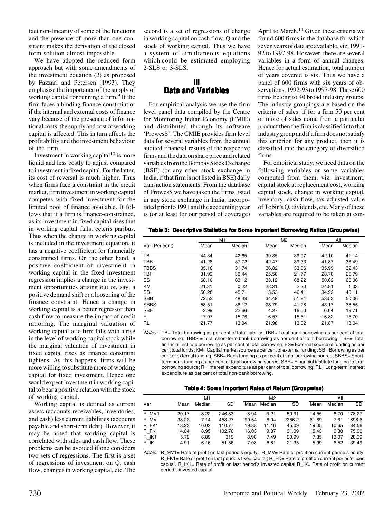fact non-linearity of some of the functions and the presence of more than one constraint makes the derivation of the closed form solution almost impossible.

We have adopted the reduced form approach but with some amendments of the investment equation (2) as proposed by Fazzari and Petersen (1993). They emphasise the importance of the supply of working capital for running a firm. $9$  If the firm faces a binding finance constraint or if the internal and external costs of finance vary because of the presence of informational costs, the supply and cost of working capital is affected. This in turn affects the profitability and the investment behaviour of the firm.

Investment in working capital $10$  is more liquid and less costly to adjust compared to investment in fixed capital. For the latter, its cost of reversal is much higher. Thus when firms face a constraint in the credit market, firm investment in working capital competes with fixed investment for the limited pool of finance available. It follows that if a firm is finance-constrained, as its investment in fixed capital rises that in working capital falls, ceteris paribus. Thus when the change in working capital is included in the investment equation, it has a negative coefficient for financially constrained firms. On the other hand, a positive coefficient of investment in working capital in the fixed investment regression implies a change in the investment opportunities arising out of, say, a positive demand shift or a loosening of the finance constraint. Hence a change in working capital is a better regressor than cash flow to measure the impact of credit rationing. The marginal valuation of working capital of a firm falls with a rise in the level of working capital stock while the marginal valuation of investment in fixed capital rises as finance constraint tightens. As this happens, firms will be more willing to substitute more of working capital for fixed investment. Hence one would expect investment in working capital to bear a positive relation with the stock of working capital.

Working capital is defined as current assets (accounts receivables, inventories, and cash) less current liabilities (accounts payable and short-term debt). However, it may be noted that working capital is correlated with sales and cash flow. These problems can be avoided if one considers two sets of regressions. The first is a set of regressions of investment on Q, cash flow, changes in working capital, etc. The

second is a set of regressions of change in working capital on cash flow, Q and the stock of working capital. Thus we have a system of simultaneous equations which could be estimated employing 2-SLS or 3-SLS.

## **III Data and Variables**

For empirical analysis we use the firm level panel data compiled by the Centre for Monitoring Indian Economy (CMIE) and distributed through its software 'ProwesS'. The CMIE provides firm level data for several variables from the annual audited financial results of the respective firms and the data on share price and related variables from the Bombay Stock Exchange (BSE) (or any other stock exchange in India, if that firm is not listed in BSE) daily transaction statements. From the database of ProwesS we have taken the firms listed in any stock exchange in India, incorporated prior to 1991 and the accounting year is (or at least for our period of coverage)

April to March.<sup>11</sup> Given these criteria we found 600 firms in the database for which seven years of data are available, viz, 1991- 92 to 1997-98. However, there are several variables in a form of annual changes. Hence for actual estimation, total number of years covered is six. Thus we have a panel of 600 firms with six years of observations, 1992-93 to 1997-98. These 600 firms belong to 40 broad industry groups. The industry groupings are based on the criteria of sales: if for a firm 50 per cent or more of sales come from a particular product then the firm is classified into that industry group and if a firm does not satisfy this criterion for any product, then it is classified into the category of diversified firms.

For empirical study, we need data on the following variables or some variables computed from them, viz, investment, capital stock at replacement cost, working capital stock, change in working capital, inventory, cash flow, tax adjusted value of Tobin's Q, dividends, etc. Many of these variables are required to be taken at con-

**Table 3: Descriptive Statistics for Some Important Borrowing Ratios (Groupwise)**

|                |         | M1     | M <sub>2</sub> |        |       | All    |
|----------------|---------|--------|----------------|--------|-------|--------|
| Var (Per cent) | Mean    | Median | Mean           | Median | Mean  | Median |
| <b>TB</b>      | 44.34   | 42.65  | 39.85          | 39.97  | 42.10 | 41.14  |
| <b>TBB</b>     | 41.28   | 37.72  | 42.47          | 39.33  | 41.87 | 38.49  |
| <b>TBBS</b>    | 35.16   | 31.74  | 36.82          | 33.06  | 35.99 | 32.43  |
| <b>TBF</b>     | 31.99   | 30.44  | 25.56          | 21.77  | 28.78 | 25.79  |
| <b>ES</b>      | 68.10   | 63.12  | 33.12          | 68.22  | 50.62 | 66.06  |
| <b>KM</b>      | 21.31   | 0.22   | 28.31          | 2.30   | 24.81 | 1.03   |
| <b>SB</b>      | 56.28   | 45.71  | 13.53          | 46.41  | 34.92 | 46.11  |
| <b>SBB</b>     | 72.53   | 48.49  | 34.49          | 51.84  | 53.53 | 50.06  |
| <b>SBBS</b>    | 58.51   | 36.12  | 28.79          | 41.28  | 43.17 | 38.55  |
| <b>SBF</b>     | $-2.99$ | 22.66  | 4.27           | 16.50  | 0.64  | 19.71  |
| R              | 17.07   | 15.76  | 16.57          | 15.61  | 16.82 | 15.70  |
| RL             | 21.77   | 13.04  | 21.98          | 13.02  | 21.87 | 13.04  |

Notes: TB= Total borrowing as per cent of total liability; TBB= Total bank borrowing as per cent of total borrowing; TBBS =Total short-term bank borrowing as per cent of total borrowing; TBF= Total financial institute borrowing as per cent of total borrowing; ES= External source of funding as per cent total funds; KM= Capital market source as per cent of external funding; SB= Borrowing as per cent of external funding; SBB= Bank funding as per cent of total borrowing source; SBBS= Shortterm bank funding as per cent of total borrowing source; SBF= Financial institute funding to total borrowing source; R= Interest expenditure as per cent of total borrowing; RL= Long-term interest expenditure as per cent of total non-bank borrowing.

#### **Table 4: Some Important Rates of Return (Groupwise)**

|       |       | M1     |           |       | M <sub>2</sub> |           |       | All    |           |
|-------|-------|--------|-----------|-------|----------------|-----------|-------|--------|-----------|
| Var   | Mean  | Median | <b>SD</b> | Mean  | Median         | <b>SD</b> | Mean  | Median | <b>SD</b> |
| R MV1 | 20.17 | 8.22   | 246.83    | 8.94  | 9.21           | 50.91     | 14.55 | 8.70   | 178.27    |
| R MV  | 33.23 | 7.14   | 453.27    | 90.54 | 8.04           | 2356.2    | 61.89 | 7.61   | 1696.6    |
| R FK1 | 18.23 | 10.03  | 110.77    | 19.88 | 11.16          | 45.09     | 19.05 | 10.65  | 84.56     |
| R FK  | 14.84 | 8.95   | 102.76    | 16.03 | 9.87           | 31.09     | 15.43 | 9.38   | 75.90     |
| R IK1 | 5.72  | 6.89   | 319       | 8.98  | 7.49           | 20.99     | 7.35  | 13.07  | 28.39     |
| R IK  | 4.91  | 6.16   | 51.56     | 7.08  | 6.81           | 21.35     | 5.99  | 6.52   | 39.49     |

Notes: R\_MV1= Rate of profit on last period's equity; R\_MV= Rate of profit on current period's equity; R\_FK1= Rate of profit on last period's fixed capital; R\_FK= Rate of profit on current period's fixed capital. R\_IK1= Rate of profit on last period's invested capital R\_IK= Rate of profit on current period's invested capital.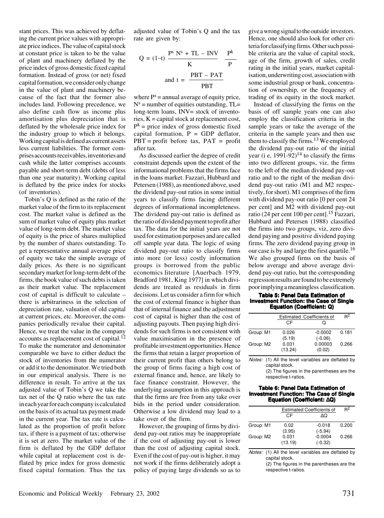stant prices. This was achieved by deflating the current price values with appropriate price indices. The value of capital stock at constant price is taken to be the value of plant and machinery deflated by the price index of gross domestic fixed capital formation. Instead of gross (or net) fixed capital formation, we consider only change in the value of plant and machinery because of the fact that the former also includes land. Following precedence, we also define cash flow as income plus amortisation plus depreciation that is deflated by the wholesale price index for the industry group to which it belongs. Working capital is defined as current assets less current liabilities. The former comprises accounts receivables, inventories and cash while the latter comprises accounts payable and short-term debt (debts of less than one year maturity). Working capital is deflated by the price index for stocks (of inventories).

Tobin's Q is defined as the ratio of the market value of the firm to its replacement cost. The market value is defined as the sum of market value of equity plus market value of long-term debt. The market value of equity is the price of shares multiplied by the number of shares outstanding. To get a representative annual average price of equity we take the simple average of daily prices. As there is no significant secondary market for long-term debt of the firms, the book value of such debts is taken as their market value. The replacement cost of capital is difficult to calculate – there is arbitrariness in the selection of depreciation rate, valuation of old capital at current prices, etc. Moreover, the companies periodically revalue their capital. Hence, we treat the value in the company accounts as replacement cost of capital.<sup>12</sup> To make the numerator and denominator comparable we have to either deduct the stock of inventories from the numerator or add it to the denominator. We tried both in our empirical analysis. There is no difference in result. To arrive at the tax adjusted value of Tobin's Q we take the tax net of the Q ratio where the tax rate in each year for each company is calculated on the basis of its actual tax payment made in the current year. The tax rate is calculated as the proportion of profit before tax, if there is a payment of tax; otherwise it is set at zero. The market value of the firm is deflated by the GDP deflator while capital at replacement cost is deflated by price index for gross domestic fixed capital formation. Thus the tax

adjusted value of Tobin's Q and the tax rate are given by:

$$
Q = (1-t) \frac{P^s N^s + TL - INV}{K} \frac{P^k}{P}
$$
  
and t = 
$$
\frac{PBT - PAT}{PBT}
$$

where  $P^s =$  annual average of equity price,  $N<sup>s</sup>$  = number of equities outstanding, TL= long-term loans, INV= stock of inventories, K = capital stock at replacement cost,  $P^k$  = price index of gross domestic fixed capital formation,  $P = GDP$  deflator,  $PBT = profit before tax, PAT = profit$ after tax.

As discussed earlier the degree of credit constraint depends upon the extent of the informational problems that the firms face in the loans market. Fazzari, Hubbard and Petersen (1988), as mentioned above, used the dividend pay-out ratios in some initial years to classify firms facing different degrees of informational incompleteness. The dividend pay-out ratio is defined as the ratio of dividend payment to profit after tax. The data for the initial years are not used for estimation purposes and are called off sample year data. The logic of using dividend pay-out ratio to classify firms into more (or less) costly information groups is borrowed from the public economics literature [Auerbach 1979, Bradford 1981, King 1977] in which dividends are treated as residuals in firm decisions. Let us consider a firm for which the cost of external finance is higher than that of internal finance and the adjustment cost of capital is higher than the cost of adjusting payouts. Then paying high dividends for such firms is not consistent with value maximisation in the presence of profitable investment opportunities. Hence the firms that retain a larger proportion of their current profit than others belong to the group of firms facing a high cost of external finance and, hence, are likely to face finance constraint. However, the underlying assumption in this approach is that the firms are free from any take over bids in the period under consideration. Otherwise a low dividend may lead to a take over of the firm.

However, the grouping of firms by dividend pay-out ratios may be inappropriate if the cost of adjusting pay-out is lower than the cost of adjusting capital stock. Even if the cost of pay-out is higher, it may not work if the firms deliberately adopt a policy of paying large dividends so as to

give a wrong signal to the outside investors. Hence, one should also look for other criteria for classifying firms. Other such possible criteria are the value of capital stock, age of the firm, growth of sales, credit rating in the initial years, market capitalisation, underwriting cost, association with some industrial group or bank, concentration of ownership, or the frequency of trading of its equity in the stock market.

Instead of classifying the firms on the basis of off sample years one can also employ the classification criteria in the sample years or take the average of the criteria in the sample years and then use them to classify the firms.<sup>13</sup> We employed the dividend pay-out ratio of the initial year (i e,  $1991-92$ )<sup>14</sup> to classify the firms into two different groups, viz, the firms to the left of the median dividend pay-out ratio and to the right of the median dividend pay-out ratio (M1 and M2 respectively, for short). M1 comprises of the firm with dividend pay-out ratio [0 per cent 24 per cent] and M2 with dividend pay-out ratio (24 per cent 100 per cent).<sup>15</sup> Fazzari, Hubbard and Petersen (1988) classified the firms into two groups, viz, zero dividend paying and positive dividend paying firms. The zero dividend paying group in our case is by and large the first quartile.<sup>16</sup> We also grouped firms on the basis of below average and above average dividend pay-out ratio, but the corresponding regression results are found to be extremely poor implying a meaningless classification.

#### **Table 5: Panel Data Estimation of Investment Function: the Case of Single Equation (Coefficient: Q)**

|           |                  | <b>Estimated Coefficients of</b> | R <sup>2</sup> |
|-----------|------------------|----------------------------------|----------------|
|           | СF               |                                  |                |
| Group: M1 | 0.026<br>(5.19)  | $-0.0002$<br>$(-0.06)$           | 0.181          |
| Group: M2 | 0.031<br>(13.24) | 0.00003<br>(0.02)                | 0.266          |

Notes: (1) All the level variables are deflated by capital stock.

(2) The figures in the parentheses are the respective t-ratios.

#### **Table 6: Panel Data Estimation of Investment Function: The Case of Single Equation (Coefficient:** ∆**Q)**

|           |         | $R^2$<br><b>Estimated Coefficients of</b> |       |  |  |  |  |
|-----------|---------|-------------------------------------------|-------|--|--|--|--|
|           | CF      | ΛO                                        |       |  |  |  |  |
| Group: M1 | 0.02    | $-0.018$                                  | 0.200 |  |  |  |  |
|           | (3.95)  | $(-5.94)$                                 |       |  |  |  |  |
| Group: M2 | 0.031   | $-0.0004$                                 | 0.266 |  |  |  |  |
|           | (13.19) | $(-0.32)$                                 |       |  |  |  |  |
|           |         |                                           |       |  |  |  |  |

Notes: (1) All the level variables are deflated by capital stock.

> (2) The figures in the parentheses are the respective t-ratios.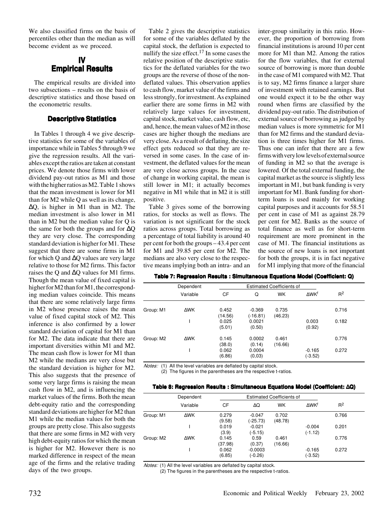We also classified firms on the basis of percentiles other than the median as will become evident as we proceed.

## **IV Empirical Results**

The empirical results are divided into two subsections – results on the basis of descriptive statistics and those based on the econometric results.

## **Descriptive Statistics**

In Tables 1 through 4 we give descriptive statistics for some of the variables of importance while in Tables 5 through 9 we give the regression results. All the variables except the ratios are taken at constant prices. We denote those firms with lower dividend pay-out ratios as M1 and those with the higher ratios as M2. Table 1 shows that the mean investment is lower for M1 than for M2 while Q as well as its change, ∆Q, is higher in M1 than in M2. The median investment is also lower in M1 than in M2 but the median value for Q is the same for both the groups and for ∆Q they are very close. The corresponding standard deviation is higher for M1. These suggest that there are some firms in M1 for which Q and ∆Q values are very large relative to those for M2 firms. This factor raises the Q and ∆Q values for M1 firms. Though the mean value of fixed capital is higher for M2 than for M1, the corresponding median values coincide. This means that there are some relatively large firms in M2 whose presence raises the mean value of fixed capital stock of M2. This inference is also confirmed by a lower standard deviation of capital for M1 than for M2. The data indicate that there are important diversities within M1 and M2. The mean cash flow is lower for M1 than M2 while the medians are very close but the standard deviation is higher for M2. This also suggests that the presence of some very large firms is raising the mean cash flow in M2, and is influencing the market values of the firms. Both the mean debt-equity ratio and the corresponding standard deviations are higher for M2 than M1 while the median values for both the groups are pretty close. This also suggests that there are some firms in M2 with very high debt-equity ratios for which the mean is higher for M2. However there is no marked difference in respect of the mean age of the firms and the relative trading days of the two groups.

Table 2 gives the descriptive statistics for some of the variables deflated by the capital stock, the deflation is expected to nullify the size effect.<sup>17</sup> In some cases the relative position of the descriptive statistics for the deflated variables for the two groups are the reverse of those of the nondeflated values. This observation applies to cash flow, market value of the firms and less strongly, for investment. As explained earlier there are some firms in M2 with relatively large values for investment, capital stock, market value, cash flow, etc, and, hence, the mean values of M2 in those cases are higher though the medians are very close. As a result of deflating, the size effect gets reduced so that they are reversed in some cases. In the case of investment, the deflated values for the mean are very close across groups. In the case of change in working capital, the mean is still lower in M1; it actually becomes negative in M1 while that in M2 it is still positive.

Table 3 gives some of the borrowing ratios, for stocks as well as flows. The variation is not significant for the stock ratios across groups. Total borrowing as a percentage of total liability is around 40 per cent for both the groups – 43.4 per cent for M1 and 39.85 per cent for M2. The medians are also very close to the respective means implying both an intra- and an

inter-group similarity in this ratio. However, the proportion of borrowing from financial institutions is around 10 per cent more for M1 than M2. Among the ratios for the flow variables, that for external source of borrowing is more than double in the case of M1 compared with M2. That is to say, M2 firms finance a larger share of investment with retained earnings. But one would expect it to be the other way round when firms are classified by the dividend pay-out ratio. The distribution of external source of borrowing as judged by median values is more symmetric for M1 than for M2 firms and the standard deviation is three times higher for M1 firms. Thus one can infer that there are a few firms with very low levels of external source of funding in M2 so that the average is lowered. Of the total external funding, the capital market as the source is slightly less important in M1, but bank funding is very important for M1. Bank funding for shortterm loans is used mainly for working capital purposes and it accounts for 58.51 per cent in case of M1 as against 28.79 per cent for M2. Banks as the source of total finance as well as for short-term requirement are more prominent in the case of M1. The financial institutions as the source of new loans is not important for both the groups, it is in fact negative for M1 implying that more of the financial

#### **Table 7: Regression Results : Simultaneous Equations Model (Coefficient: Q)**

|           | Dependent  |                  |                      | <b>Estimated Coefficients of</b> |                       |       |
|-----------|------------|------------------|----------------------|----------------------------------|-----------------------|-------|
|           | Variable   | CF               | Q                    | <b>WK</b>                        | ΔWK <sup>f</sup>      | $R^2$ |
| Group: M1 | ΔWK        | 0.452<br>(14.56) | $-0.369$<br>(-16.81) | 0.735<br>(46.23)                 |                       | 0.716 |
|           |            | 0.025<br>(5.01)  | 0.0021<br>(0.50)     |                                  | 0.003<br>(0.92)       | 0.182 |
| Group: M2 | <b>AWK</b> | 0.145<br>(38.0)  | 0.0002<br>(0.14)     | 0.461<br>(16.66)                 |                       | 0.776 |
|           |            | 0.062<br>(6.86)  | 0.0004<br>(0,03)     |                                  | $-0.165$<br>$(-3.52)$ | 0.272 |

Notes: (1) All the level variables are deflated by capital stock.

(2) The figures in the parentheses are the respective t-ratios.

#### **Table 8: Regression Results : Simultaneous Equations Model (Coefficient:** ∆**Q)**

|           | Dependent  |                  |                        | <b>Estimated Coefficients of</b> |                       |       |
|-----------|------------|------------------|------------------------|----------------------------------|-----------------------|-------|
|           | Variable   | СF               | ΔQ                     | <b>WK</b>                        | ΔWK <sup>f</sup>      | $R^2$ |
| Group: M1 | <b>AWK</b> | 0.279<br>(9.58)  | $-0.047$<br>(-25.73)   | 0.702<br>(48.78)                 |                       | 0.766 |
|           |            | 0.019<br>(3.9)   | $-0.021$<br>$(-5.15)$  |                                  | $-0.004$<br>$(-1.12)$ | 0.201 |
| Group: M2 | ΔWK        | 0.145<br>(37.98) | 0.59<br>(0.37)         | 0.461<br>(16.66)                 |                       | 0.776 |
|           |            | 0.062<br>(6.85)  | $-0.0003$<br>$(-0.26)$ |                                  | $-0.165$<br>$(-3.52)$ | 0.272 |

Notes: (1) All the level variables are deflated by capital stock.

(2) The figures in the parentheses are the respective t-ratios.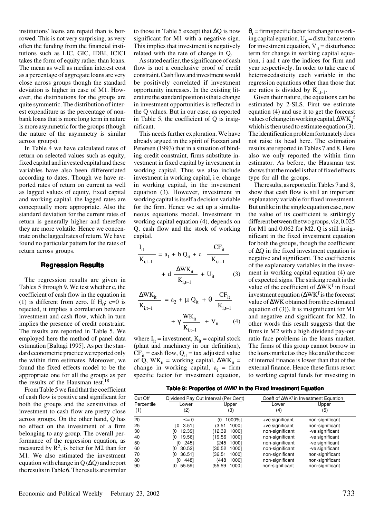institutions' loans are repaid than is borrowed. This is not very surprising, as very often the funding from the financial institutions such as LIC, GIC, IDBI, ICICI takes the form of equity rather than loans. The mean as well as median interest cost as a percentage of aggregate loans are very close across groups though the standard deviation is higher in case of M1. However, the distributions for the groups are quite symmetric. The distribution of interest expenditure as the percentage of nonbank loans that is more long term in nature is more asymmetric for the groups (though the nature of the asymmetry is similar across groups).

In Table 4 we have calculated rates of return on selected values such as equity, fixed capital and invested capital and these variables have also been differentiated according to dates. Though we have reported rates of return on current as well as lagged values of equity, fixed capital and working capital, the lagged rates are conceptually more appropriate. Also the standard deviation for the current rates of return is generally higher and therefore they are more volatile. Hence we concentrate on the lagged rates of return. We have found no particular pattern for the rates of return across groups.

### **Regression Results**

The regression results are given in Tables 5 through 9. We test whether c, the coefficient of cash flow in the equation in (1) is different from zero. If  $H_0$ : c=0 is rejected, it implies a correlation between investment and cash flow, which in turn implies the presence of credit constraint. The results are reported in Table 5. We employed here the method of panel data estimation [Baltagi 1995]. As per the standard econometric practice we reported only the within firm estimates. Moreover, we found the fixed effects model to be the appropriate one for all the groups as per the results of the Hausman test.<sup>18</sup>

From Table 5 we find that the coefficient of cash flow is positive and significant for both the groups and the sensitivities of investment to cash flow are pretty close across groups. On the other hand, Q has no effect on the investment of a firm belonging to any group. The overall performance of the regression equation, as measured by  $\mathbb{R}^2$ , is better for M2 than for M1. We also estimated the investment equation with change in Q (∆Q) and report the results in Table 6. The results are similar to those in Table 5 except that ∆Q is now significant for M1 with a negative sign. This implies that investment is negatively related with the rate of change in Q.

As stated earlier, the significance of cash flow is not a conclusive proof of credit constraint. Cash flow and investment would be positively correlated if investment opportunity increases. In the existing literature the standard position is that a change in investment opportunities is reflected in the Q values. But in our case, as reported in Table 5, the coefficient of Q is insignificant.

This needs further exploration. We have already argued in the spirit of Fazzari and Petersen (1993) that in a situation of binding credit constraint, firms substitute investment in fixed capital by investment in working capital. Thus we also include investment in working capital, i e, change in working capital, in the investment equation (3). However, investment in working capital is itself a decision variable for the firm. Hence we set up a simultaneous equations model. Investment in working capital equation (4), depends on Q, cash flow and the stock of working capital.

$$
\frac{I_{it}}{K_{i,t-1}} = a_1 + b Q_{it} + c \frac{CF_{it}}{K_{i,t-1}} + d \frac{\Delta W K_{it}}{K_{i,t-1}} + U_{it}
$$
 (3)

$$
\frac{\Delta W K_{it}}{K_{i,t-1}} = a_2 + \mu Q_{it} + \theta \frac{CF_{it}}{K_{i,t-1}}
$$

$$
+ \gamma \frac{W K_{it}}{K_{i,t-1}} + V_{it} \qquad (4)
$$

where  $I_{it}$  = investment,  $K_{it}$  = capital stock (plant and machinery in our definition),  $CF_{it} =$  cash flow,  $Q_{it} =$  tax adjusted value of Q, WK<sub>it</sub> = working capital,  $\Delta$ WK<sub>it</sub> = change in working capital,  $a_i$  = firm specific factor for investment equation,

 $\theta_i$  = firm specific factor for change in working capital equation,  $U_{it}$  = disturbance term for investment equation,  $V_{it}$  = disturbance term for change in working capital equation, i and t are the indices for firm and year respectively. In order to take care of heteroscedasticity each variable in the regression equations other than those that are ratios is divided by  $K_{i,t-1}$ .

Given their nature, the equations can be estimated by 2-SLS. First we estimate equation (4) and use it to get the forecast values of change in working capital, ∆WK if which is then used to estimate equation  $(3)$ . The identification problem fortunately does not raise its head here. The estimation results are reported in Tables 7 and 8. Here also we only reported the within firm estimator. As before, the Hausman test shows that the model is that of fixed effects type for all the groups.

The results, as reported in Tables 7 and 8, show that cash flow is still an important explanatory variable for fixed investment. But unlike in the single equation case, now the value of its coefficient is strikingly different between the two groups, viz, 0.025 for M1 and 0.062 for M2. Q is still insignificant in the fixed investment equation for both the groups, though the coefficient of ∆Q in the fixed investment equation is negative and significant. The coefficients of the explanatory variables in the investment in working capital equation (4) are of expected signs. The striking result is the value of the coefficient of ∆WK<sup>f</sup> in fixed investment equation (∆WK<sup>f</sup> is the forecast value of ∆WK obtained from the estimated equation of (3)). It is insignificant for M1 and negative and significant for M2. In other words this result suggests that the firms in M2 with a high dividend pay-out ratio face problems in the loans market. The firms of this group cannot borrow in the loans market as they like and/or the cost of internal finance is lower than that of the external finance. Hence these firms resort to working capital funds for investing in

| Table 9: Properties of ∆WK' in the Fixed Investment Equation |  |  |  |  |  |
|--------------------------------------------------------------|--|--|--|--|--|
|--------------------------------------------------------------|--|--|--|--|--|

| Cut Off           |               | Dividend Pay Out Interval (Per Cent) |                 | Coeff of $\Delta$ WK <sup>f</sup> in Investment Equation |
|-------------------|---------------|--------------------------------------|-----------------|----------------------------------------------------------|
| Percentile<br>(1) | Lower<br>(2)  | Upper<br>(3)                         | Lower<br>(4)    | Upper<br>(5)                                             |
| 20                | $\leq$ = 0    | 1000%1<br>60                         | +ve significant | non-significant                                          |
| 25                | 3.51<br>ΓО.   | (3.51 1000]                          | +ve significant | non-significant                                          |
| 30                | 12.391<br>TO. | (12.39<br>10001                      | non-significant | -ve significant                                          |
| 40                | 19.561<br>ГO  | 10001<br>(19.56)                     | non-significant | -ve significant                                          |
| 50                | 2451<br>TO.   | 10001<br>(245                        | non-significant | -ve significant                                          |
| 60                | 30.521<br>ſО  | (30.52 1000]                         | non-significant | -ve significant                                          |
| 70                | 36.511<br>TO. | 10001<br>(36.51)                     | non-significant | non-significant                                          |
| 80                | 4481<br>TO.   | 10001<br>(448                        | non-significant | non-significant                                          |
| 90                | 55.591<br>TO. | (55.59<br>10001                      | non-significant | non-significant                                          |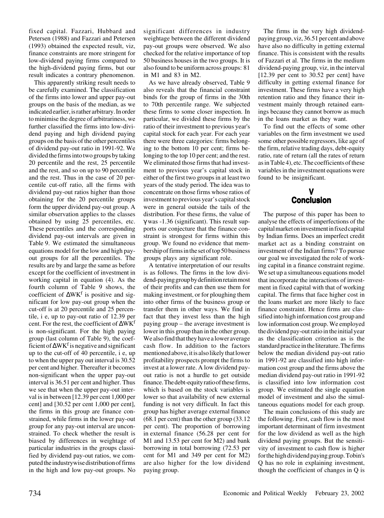fixed capital. Fazzari, Hubbard and Petersen (1988) and Fazzari and Petersen (1993) obtained the expected result, viz, finance constraints are more stringent for low-dividend paying firms compared to the high-dividend paying firms, but our result indicates a contrary phenomenon.

This apparently striking result needs to be carefully examined. The classification of the firms into lower and upper pay-out groups on the basis of the median, as we indicated earlier, is rather arbitrary. In order to minimise the degree of arbitrariness, we further classified the firms into low-dividend paying and high dividend paying groups on the basis of the other percentiles of dividend pay-out ratio in 1991-92. We divided the firms into two groups by taking 20 percentile and the rest, 25 percentile and the rest, and so on up to 90 percentile and the rest. Thus in the case of 20 percentile cut-off ratio, all the firms with dividend pay-out ratios higher than those obtaining for the 20 percentile groups form the upper dividend pay-out group. A similar observation applies to the classes obtained by using 25 percentiles, etc. These percentiles and the corresponding dividend pay-out intervals are given in Table 9. We estimated the simultaneous equations model for the low and high payout groups for all the percentiles. The results are by and large the same as before except for the coefficient of investment in working capital in equation (4). As the fourth column of Table 9 shows, the coefficient of ∆WK<sup>f</sup> is positive and significant for low pay-out group when the cut-off is at 20 percentile and 25 percentile, i e, up to pay-out ratio of 12.39 per cent. For the rest, the coefficient of  $\Delta W K^{\dagger}$ is non-significant. For the high paying group (last column of Table 9), the coefficient of ∆WK<sup>f</sup> is negative and significant up to the cut-off of 40 percentile, i e, up to when the upper pay out interval is 30.52 per cent and higher. Thereafter it becomes non-significant when the upper pay-out interval is 36.51 per cent and higher. Thus we see that when the upper pay-out interval is in between [12.39 per cent 1,000 per cent] and [30.52 per cent 1,000 per cent], the firms in this group are finance constrained, while firms in the lower pay-out group for any pay-out interval are unconstrained. To check whether the result is biased by differences in weightage of particular industries in the groups classified by dividend pay-out ratios, we computed the industrywise distribution of firms in the high and low pay-out groups. No

significant differences in industry weightage between the different dividend pay-out groups were observed. We also checked for the relative importance of top 50 business houses in the two groups. It is also found to be uniform across groups: 81 in M1 and 83 in M2.

As we have already observed, Table 9 also reveals that the financial constraint binds for the group of firms in the 30th to 70th percentile range. We subjected these firms to some closer inspection. In particular, we divided these firms by the ratio of their investment to previous year's capital stock for each year. For each year there were three categories: firms belonging to the bottom 10 per cent; firms belonging to the top 10 per cent; and the rest. We eliminated those firms that had investment to previous year's capital stock in either of the first two groups in at least two years of the study period. The idea was to concentrate on those firms whose ratios of investment to previous year's capital stock were in general outside the tails of the distribution. For these firms, the value of γ was -1.36 (significant). This result supports our conjecture that the finance constraint is strongest for firms within this group. We found no evidence that membership of firms in the set of top 50 business groups plays any significant role.

A tentative interpretation of our results is as follows. The firms in the low dividend-paying group by definition retain most of their profits and can then use them for making investment, or for ploughing them into other firms of the business group or transfer them in other ways. We find in fact that they invest less than the high paying group – the average investment is lower in this group than in the other group. We also find that they have a lower average cash flow. In addition to the factors mentioned above, it is also likely that lower profitability prospects prompt the firms to invest at a lower rate. A low dividend payout ratio is not a hurdle to get outside finance. The debt-equity ratio of these firms, which is based on the stock variables is lower so that availability of new external funding is not very difficult. In fact this group has higher average external finance (68.1 per cent) than the other group (33.12 per cent). The proportion of borrowing in external finance (56.28 per cent for M1 and 13.53 per cent for M2) and bank borrowing in total borrowing (72.53 per cent for M1 and 349 per cent for M2) are also higher for the low dividend paying group.

The firms in the very high dividendpaying group, viz, 36.51 per cent and above have also no difficulty in getting external finance. This is consistent with the results of Fazzari et al. The firms in the medium dividend-paying group, viz, in the interval [12.39 per cent to 30.52 per cent] have difficulty in getting external finance for investment. These firms have a very high retention ratio and they finance their investment mainly through retained earnings because they cannot borrow as much in the loans market as they want.

To find out the effects of some other variables on the firm investment we used some other possible regressors, like age of the firm, relative trading days, debt-equity ratio, rate of return (all the rates of return as in Table 4), etc. The coefficients of these variables in the investment equations were found to be insignificant.

## **V Conclusion**

The purpose of this paper has been to analyse the effects of imperfections of the capital market on investment in fixed capital by Indian firms. Does an imperfect credit market act as a binding constraint on investment of the Indian firms? To pursue our goal we investigated the role of working capital in a finance constraint regime. We set up a simultaneous equations model that incorporate the interactions of investment in fixed capital with that of working capital. The firms that face higher cost in the loans market are more likely to face finance constraint. Hence firms are classified into high information cost group and low information cost group. We employed the dividend pay-out ratio in the initial year as the classification criterion as is the standard practice in the literature. The firms below the median dividend pay-out ratio in 1991-92 are classified into high information cost group and the firms above the median dividend pay-out ratio in 1991-92 is classified into low information cost group. We estimated the single equation model of investment and also the simultaneous equations model for each group.

The main conclusions of this study are the following. First, cash flow is the most important determinant of firm investment for the low dividend as well as the high dividend paying groups. But the sensitivity of investment to cash flow is higher for the high dividend paying group. Tobin's Q has no role in explaining investment, though the coefficient of changes in Q is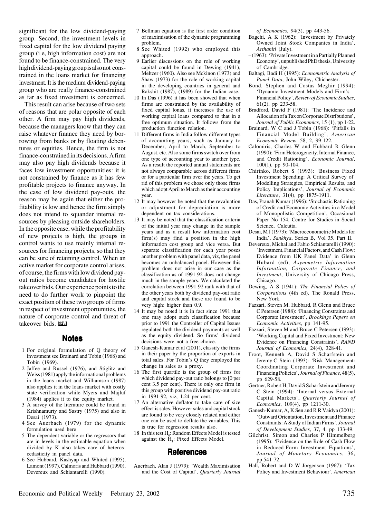significant for the low dividend-paying group. Second, the investment levels in fixed capital for the low dividend paying group (i e, high information cost) are not found to be finance-constrained. The very high dividend-paying group is also not constrained in the loans market for financing investment. It is the medium dividend-paying group who are really finance-constrained as far as fixed investment is concerned.

This result can arise because of two sets of reasons that are polar opposite of each other. A firm may pay high dividends, because the managers know that they can raise whatever finance they need by borrowing from banks or by floating debentures or equities. Hence, the firm is not finance-constrained in its decisions. A firm may also pay high dividends because it faces low investment opportunities: it is not constrained by finance as it has few profitable projects to finance anyway. In the case of low dividend pay-outs, the reason may be again that either the profitability is low and hence the firm simply does not intend to squander internal resources by pleasing outside shareholders. In the opposite case, while the profitability of new projects is high, the groups in control wants to use mainly internal resources for financing projects, so that they can be sure of retaining control. When an active market for corporate control arises, of course, the firms with low dividend payout ratios become candidates for hostile takeover bids. Our experience points to the need to do further work to pinpoint the exact position of these two groups of firms in respect of investment opportunities, the nature of corporate control and threat of takeover bids. **The** 

### **Notes**

- 1 For original formulation of Q theory of investment see Brainard and Tobin (1968) and Tobin (1969).
- 2 Jaffee and Russel (1976), and Stiglitz and Weiss (1981) apply the informational problems in the loans market and Williamson (1987) also applies it in the loans market with costly state verification while Myers and Majluf (1984) applies it to the equity market.
- 3 A survey of the literature could be found in Krishnamurty and Sastry (1975) and also in Desai (1973).
- 4 See Auerbach (1979) for the dynamic formulation used here
- 5 The dependent variable or the regressors that are in levels in the estimable equation when divided by K also takes care of heteroscedasticity in panel data.
- 6 See Hubbard, Kashyap and Whited (1995), Lamont (1997), Calmoris and Hubbard (1990), Devereux and Schiantarelli (1990).
- 7 Bellman equation is the first order condition of maximisation of the dynamic programming problem.
- 8 See Whited (1992) who employed this approach.
- 9 Earlier discussions on the role of working capital could be found in Dewing (1941), Meltzer (1960). Also see Mckinon (1973) and Shaw (1973) for the role of working capital in the developing countries in general and Rakshit (1987), (1989) for the Indian case.
- 10 In Das (1996) it has been showed that when firms are constrained by the availability of fixed capital lonas, it increases the use of working capital loans compared to that in a free optimum situation. It follows from the production function relation.
- 11 Different firms in India follow different types of accounting years, such as January to December, April to March, September to August, etc. Also some firms switch over from one type of accounting year to another type. As a result the reported annual statements are not always comparable across different firms or for a particular firm over the years. To get rid of this problem we chose only those firms which adopt April to March as their accounting year.
- 12 It may however be noted that the revaluation or adjustment for depreciation is more dependent on tax considerations.
- 13 It may be noted that the classification criteria of the initial year may change in the sample years and as a result low information cost firm(s) may find a position in the high information cost group and vice versa. But separate classification for each year poses another problem with panel data, viz, the panel becomes an unbalanced panel. However this problem does not arise in our case as the classification as of 1991-92 does not change much in the sample years. We calculated the correlation between 1991-92 rank with that of the other years both by dividend pay-out ratio and capital stock and these are found to be very high: higher than 0.9.
- 14 It may be noted it is in fact since 1991 that one may adopt such classification because prior to 1991 the Controller of Capital Issues regulated both the dividend payments as well as the equity dividend. So firms' dividend decisions were not a free choice.
- 15 Ganesh-Kumar et al (2001), classify the firms in their paper by the proportion of exports in total sales. For Tobin's Q they employed the change in sales as a proxy.
- 16 The first quartile is the group of firms for which dividend pay-out ratio belongs to [0 per cent 3.5 per cent). There is only one firm in this group with positive dividend pay-out ratio in 1991-92, viz, 1.24 per cent.
- 17 An alternative deflator to take care of size effect is sales. However sales and capital stock are found to be very closely related and either one can be used to deflate the variables. This is true for regression results also.
- 18 In this test  $H_0$ : Random Effects Model is tested against the  $H<sub>1</sub>$ : Fixed Effects Model.

### **References**

Auerbach, Alan J (1979): 'Wealth Maximisation and the Cost of Capital', *Quarterly Journal* *of Economics*, 94(3), pp 443-56.

- Bagchi, A K (1962): 'Investment by Privately Owned Joint Stock Companies in India', *Arthaniti* (July).
- (1963): 'Private Investment in a Partially Planned Economy', unpublished PhD thesis, University of Cambridge.
- Baltagi, Badi H (1995): *Econometric Analysis of Panel Data*, John Wiley, Chichester.
- Bond, Stephen and Costas Meghir (1994): 'Dynamic Investment Models and Firm's Financial Policy', *Review of Economic Studies*, 61(2), pp 233-58.
- Bradford, David F (1981): 'The Incidence and Allocation of a Tax on Corporate Distributions', *Journal of Public Economics*, 15 (1), pp 1-22.
- Brainard, W C and J Tobin (1968): 'Pitfalls in Financial Model Building', *American Economic Review*, 58, 2, 99-122.
- Calomiris, Charles W and Hubbard R Glenn (1990): 'Firm Heterogeneity, Internal Finance, and Credit Rationing', *Economic Journal*, 100(1), pp 90-104.
- Chirinko, Robert S (1993): 'Business Fixed Investment Spending: A Critical Survey of Modelling Strategies, Empirical Results, and Policy Implications', *Journal of Economic Literature*, 31(4), pp 1875-1911.
- Das, Pranab Kumar (1996): 'Stochastic Rationing of Credit and Economic Activities in a Model of Monopolistic Competition', Occasional Paper No 154, Centre for Studies in Social Science, Calcutta.
- Desai, M J (1973): 'Macroeconometric Models for India', *Sankhya*, Series B, Vol 35, Part II.
- Devereux, Michal and Fabio Schiantarelli (1990): 'Investment, Financial Factors, and Cash Flow: Evidence from UK Panel Data' in Glenn Hubard (ed), *Asymmetric Information Information, Corporate Finance, and Investment*, University of Chicago Press, Chicago.
- Dewing, A S (1941): *The Financial Policy of Corporations* (4th ed), The Ronald Press, New York.
- Fazzari, Steven M, Hubbard, R Glenn and Bruce C Petersen (1988): 'Financing Constraints and Corporate Investment', *Brookings Papers on Economic Activities*, pp 141-95.
- Fazzari, Steven M and Bruce C Petersen (1993): 'Working Capital and Fixed Investment: New Evidence on Financing Constraints', *RAND Journal of Economics,* 24(4), 328-41.
- Froot, Kenneth A, David S Scharfstein and Jeremy C Stein (1993): 'Risk Management: Coordinating Corporate Investment and Financing Policies', *Journal of Finance*, 48(5), pp 629-58.
- Gertner, Robert H, David S Scharfstein and Jeremy C Stein (1994): 'Internal versus External Capital Markets', *Quarterly Journal of Economics*, 109(4), pp 1211-30.
- Ganesh-Kumar, A, K Sen and R R Vaidya (2001): 'Outward Orientation, Investment and Finance Constraints: A Study of Indian Firms', *Journal of Development Studies*, 37, 4, pp 133-49.
- Gilchrist, Simon and Charles P Himmelberg (1995): 'Evidence on the Role of Cash Flow in Reduced-Form Investment Equations', *Journal of Monetary Economics*, 36, pp 541-72.
- Hall, Robert and D W Jorgenson (1967): 'Tax Policy and Investment Behaviour', *American*